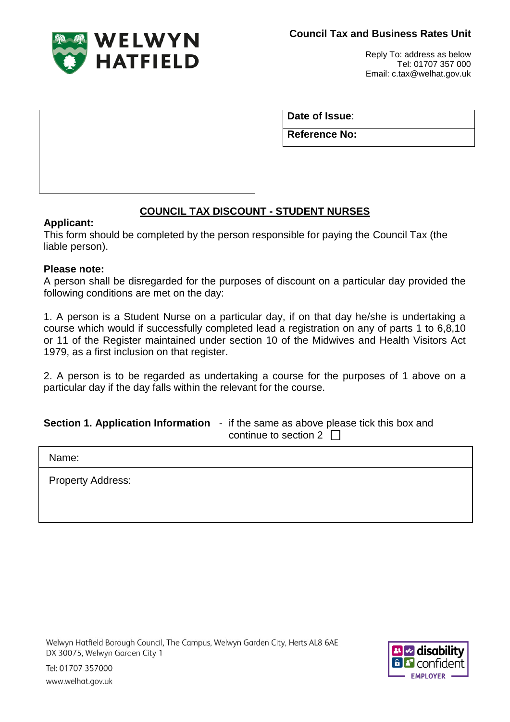

Reply To: address as below Tel: 01707 357 000 Email: c.tax@welhat.gov.uk

**Date of Issue**:

**Reference No:**

# **COUNCIL TAX DISCOUNT - STUDENT NURSES**

## **Applicant:**

This form should be completed by the person responsible for paying the Council Tax (the liable person).

## **Please note:**

A person shall be disregarded for the purposes of discount on a particular day provided the following conditions are met on the day:

1. A person is a Student Nurse on a particular day, if on that day he/she is undertaking a course which would if successfully completed lead a registration on any of parts 1 to 6,8,10 or 11 of the Register maintained under section 10 of the Midwives and Health Visitors Act 1979, as a first inclusion on that register.

2. A person is to be regarded as undertaking a course for the purposes of 1 above on a particular day if the day falls within the relevant for the course.

#### **Section 1. Application Information** - if the same as above please tick this box and continue to section 2  $\Box$

Name:

Property Address: